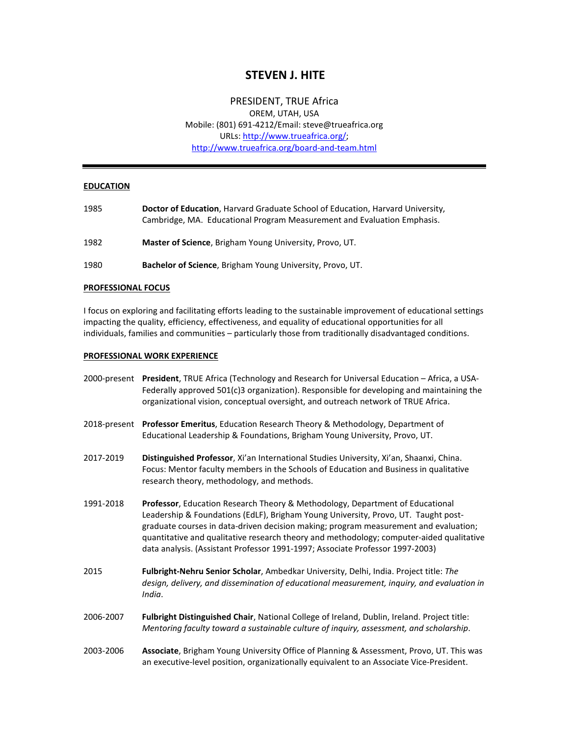# **STEVEN J. HITE**

## PRESIDENT, TRUE Africa

OREM, UTAH, USA Mobile: (801) 691-4212/Email: steve@trueafrica.org URLs: [http://www.trueafrica.org/;](http://www.trueafrica.org/) <http://www.trueafrica.org/board-and-team.html>

## **EDUCATION**

- 1985 **Doctor of Education**, Harvard Graduate School of Education, Harvard University, Cambridge, MA. Educational Program Measurement and Evaluation Emphasis.
- 1982 **Master of Science**, Brigham Young University, Provo, UT.
- 1980 **Bachelor of Science**, Brigham Young University, Provo, UT.

## **PROFESSIONAL FOCUS**

I focus on exploring and facilitating efforts leading to the sustainable improvement of educational settings impacting the quality, efficiency, effectiveness, and equality of educational opportunities for all individuals, families and communities – particularly those from traditionally disadvantaged conditions.

#### **PROFESSIONAL WORK EXPERIENCE**

- 2000-present **President**, TRUE Africa (Technology and Research for Universal Education Africa, a USA-Federally approved 501(c)3 organization). Responsible for developing and maintaining the organizational vision, conceptual oversight, and outreach network of TRUE Africa.
- 2018-present **Professor Emeritus**, Education Research Theory & Methodology, Department of Educational Leadership & Foundations, Brigham Young University, Provo, UT.
- 2017-2019 **Distinguished Professor**, Xi'an International Studies University, Xi'an, Shaanxi, China. Focus: Mentor faculty members in the Schools of Education and Business in qualitative research theory, methodology, and methods.
- 1991-2018 **Professor**, Education Research Theory & Methodology, Department of Educational Leadership & Foundations (EdLF), Brigham Young University, Provo, UT. Taught postgraduate courses in data-driven decision making; program measurement and evaluation; quantitative and qualitative research theory and methodology; computer-aided qualitative data analysis. (Assistant Professor 1991-1997; Associate Professor 1997-2003)
- 2015 **Fulbright-Nehru Senior Scholar**, Ambedkar University, Delhi, India. Project title: *The design, delivery, and dissemination of educational measurement, inquiry, and evaluation in India*.
- 2006-2007 **Fulbright Distinguished Chair**, National College of Ireland, Dublin, Ireland. Project title: *Mentoring faculty toward a sustainable culture of inquiry, assessment, and scholarship*.
- 2003-2006 **Associate**, Brigham Young University Office of Planning & Assessment, Provo, UT. This was an executive-level position, organizationally equivalent to an Associate Vice-President.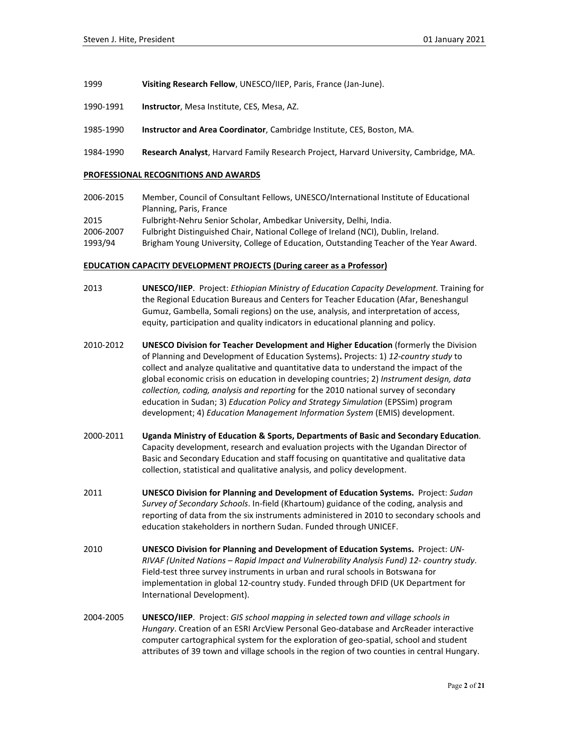- 1999 **Visiting Research Fellow**, UNESCO/IIEP, Paris, France (Jan-June).
- 1990-1991 **Instructor**, Mesa Institute, CES, Mesa, AZ.
- 1985-1990 **Instructor and Area Coordinator**, Cambridge Institute, CES, Boston, MA.
- 1984-1990 **Research Analyst**, Harvard Family Research Project, Harvard University, Cambridge, MA.

#### **PROFESSIONAL RECOGNITIONS AND AWARDS**

2006-2015 Member, Council of Consultant Fellows, UNESCO/International Institute of Educational Planning, Paris, France 2015 Fulbright-Nehru Senior Scholar, Ambedkar University, Delhi, India. 2006-2007 Fulbright Distinguished Chair, National College of Ireland (NCI), Dublin, Ireland. 1993/94 Brigham Young University, College of Education, Outstanding Teacher of the Year Award.

#### **EDUCATION CAPACITY DEVELOPMENT PROJECTS (During career as a Professor)**

- 2013 **UNESCO/IIEP**. Project: *Ethiopian Ministry of Education Capacity Development.* Training for the Regional Education Bureaus and Centers for Teacher Education (Afar, Beneshangul Gumuz, Gambella, Somali regions) on the use, analysis, and interpretation of access, equity, participation and quality indicators in educational planning and policy.
- 2010-2012 **UNESCO Division for Teacher Development and Higher Education** (formerly the Division of Planning and Development of Education Systems)**.** Projects: 1) *12-country study* to collect and analyze qualitative and quantitative data to understand the impact of the global economic crisis on education in developing countries; 2) *Instrument design, data collection, coding, analysis and reporting* for the 2010 national survey of secondary education in Sudan; 3) *Education Policy and Strategy Simulation* (EPSSim) program development; 4) *Education Management Information System* (EMIS) development.
- 2000-2011 **Uganda Ministry of Education & Sports, Departments of Basic and Secondary Education**. Capacity development, research and evaluation projects with the Ugandan Director of Basic and Secondary Education and staff focusing on quantitative and qualitative data collection, statistical and qualitative analysis, and policy development.
- 2011 **UNESCO Division for Planning and Development of Education Systems.** Project: *Sudan Survey of Secondary Schools*. In-field (Khartoum) guidance of the coding, analysis and reporting of data from the six instruments administered in 2010 to secondary schools and education stakeholders in northern Sudan. Funded through UNICEF.
- 2010 **UNESCO Division for Planning and Development of Education Systems.** Project: *UN-RIVAF (United Nations – Rapid Impact and Vulnerability Analysis Fund) 12- country study*. Field-test three survey instruments in urban and rural schools in Botswana for implementation in global 12-country study. Funded through DFID (UK Department for International Development).
- 2004-2005 **UNESCO/IIEP**. Project: *GIS school mapping in selected town and village schools in Hungary*. Creation of an ESRI ArcView Personal Geo-database and ArcReader interactive computer cartographical system for the exploration of geo-spatial, school and student attributes of 39 town and village schools in the region of two counties in central Hungary.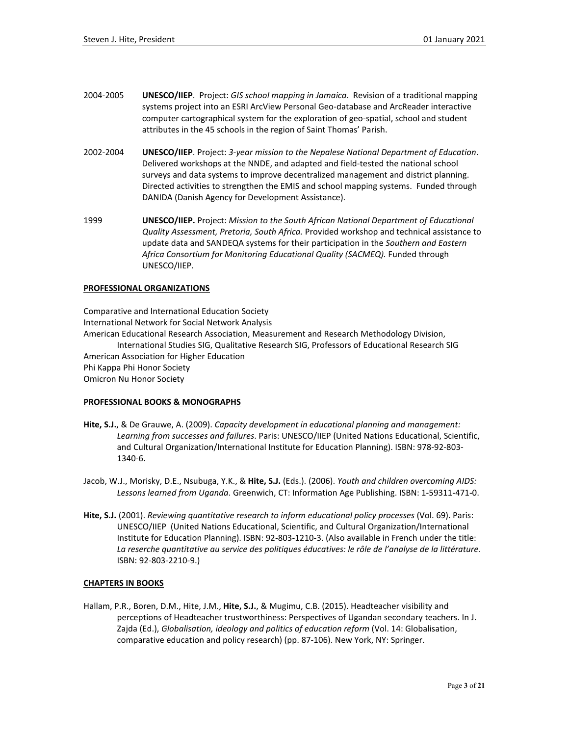- 2004-2005 **UNESCO/IIEP**. Project: *GIS school mapping in Jamaica*. Revision of a traditional mapping systems project into an ESRI ArcView Personal Geo-database and ArcReader interactive computer cartographical system for the exploration of geo-spatial, school and student attributes in the 45 schools in the region of Saint Thomas' Parish.
- 2002-2004 **UNESCO/IIEP**. Project: *3-year mission to the Nepalese National Department of Education*. Delivered workshops at the NNDE, and adapted and field-tested the national school surveys and data systems to improve decentralized management and district planning. Directed activities to strengthen the EMIS and school mapping systems. Funded through DANIDA (Danish Agency for Development Assistance).
- 1999 **UNESCO/IIEP.** Project: *Mission to the South African National Department of Educational Quality Assessment, Pretoria, South Africa.* Provided workshop and technical assistance to update data and SANDEQA systems for their participation in the *Southern and Eastern Africa Consortium for Monitoring Educational Quality (SACMEQ).* Funded through UNESCO/IIEP.

## **PROFESSIONAL ORGANIZATIONS**

Comparative and International Education Society International Network for Social Network Analysis American Educational Research Association, Measurement and Research Methodology Division, International Studies SIG, Qualitative Research SIG, Professors of Educational Research SIG American Association for Higher Education Phi Kappa Phi Honor Society Omicron Nu Honor Society

## **PROFESSIONAL BOOKS & MONOGRAPHS**

- **Hite, S.J.**, & De Grauwe, A. (2009). *Capacity development in educational planning and management: Learning from successes and failures*. Paris: UNESCO/IIEP (United Nations Educational, Scientific, and Cultural Organization/International Institute for Education Planning). ISBN: 978-92-803- 1340-6.
- Jacob, W.J., Morisky, D.E., Nsubuga, Y.K., & **Hite, S.J.** (Eds.). (2006). *Youth and children overcoming AIDS: Lessons learned from Uganda*. Greenwich, CT: Information Age Publishing. ISBN: 1-59311-471-0.
- **Hite, S.J.** (2001). *Reviewing quantitative research to inform educational policy processes* (Vol. 69). Paris: UNESCO/IIEP (United Nations Educational, Scientific, and Cultural Organization/International Institute for Education Planning). ISBN: 92-803-1210-3. (Also available in French under the title: *La reserche quantitative au service des politiques éducatives: le rôle de l'analyse de la littérature.* ISBN: 92-803-2210-9.)

## **CHAPTERS IN BOOKS**

Hallam, P.R., Boren, D.M., Hite, J.M., **Hite, S.J.**, & Mugimu, C.B. (2015). Headteacher visibility and perceptions of Headteacher trustworthiness: Perspectives of Ugandan secondary teachers. In J. Zajda (Ed.), *Globalisation, ideology and politics of education reform* (Vol. 14: Globalisation, comparative education and policy research) (pp. 87-106). New York, NY: Springer.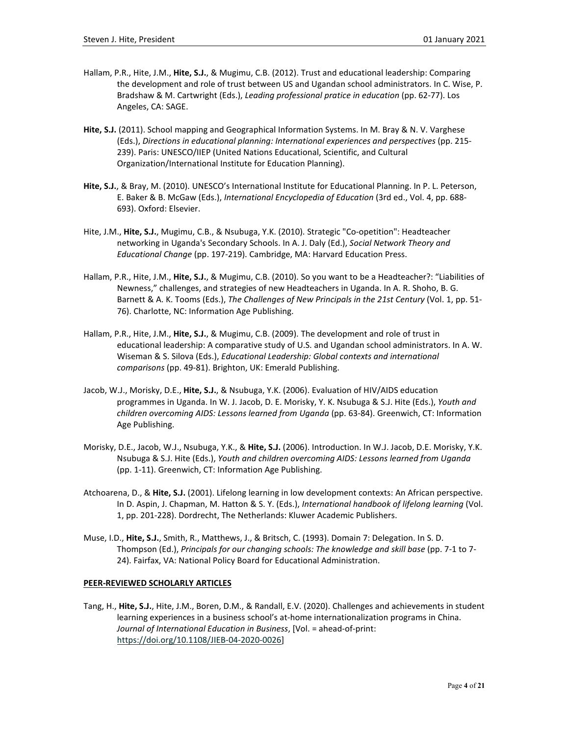- Hallam, P.R., Hite, J.M., **Hite, S.J.**, & Mugimu, C.B. (2012). Trust and educational leadership: Comparing the development and role of trust between US and Ugandan school administrators. In C. Wise, P. Bradshaw & M. Cartwright (Eds.), *Leading professional pratice in education* (pp. 62-77). Los Angeles, CA: SAGE.
- **Hite, S.J.** (2011). School mapping and Geographical Information Systems. In M. Bray & N. V. Varghese (Eds.), *Directions in educational planning: International experiences and perspectives* (pp. 215- 239). Paris: UNESCO/IIEP (United Nations Educational, Scientific, and Cultural Organization/International Institute for Education Planning).
- **Hite, S.J.**, & Bray, M. (2010). UNESCO's International Institute for Educational Planning. In P. L. Peterson, E. Baker & B. McGaw (Eds.), *International Encyclopedia of Education* (3rd ed., Vol. 4, pp. 688- 693). Oxford: Elsevier.
- Hite, J.M., **Hite, S.J.**, Mugimu, C.B., & Nsubuga, Y.K. (2010). Strategic "Co-opetition": Headteacher networking in Uganda's Secondary Schools. In A. J. Daly (Ed.), *Social Network Theory and Educational Change* (pp. 197-219). Cambridge, MA: Harvard Education Press.
- Hallam, P.R., Hite, J.M., **Hite, S.J.**, & Mugimu, C.B. (2010). So you want to be a Headteacher?: "Liabilities of Newness," challenges, and strategies of new Headteachers in Uganda. In A. R. Shoho, B. G. Barnett & A. K. Tooms (Eds.), *The Challenges of New Principals in the 21st Century* (Vol. 1, pp. 51- 76). Charlotte, NC: Information Age Publishing.
- Hallam, P.R., Hite, J.M., **Hite, S.J.**, & Mugimu, C.B. (2009). The development and role of trust in educational leadership: A comparative study of U.S. and Ugandan school administrators. In A. W. Wiseman & S. Silova (Eds.), *Educational Leadership: Global contexts and international comparisons* (pp. 49-81). Brighton, UK: Emerald Publishing.
- Jacob, W.J., Morisky, D.E., **Hite, S.J.**, & Nsubuga, Y.K. (2006). Evaluation of HIV/AIDS education programmes in Uganda. In W. J. Jacob, D. E. Morisky, Y. K. Nsubuga & S.J. Hite (Eds.), *Youth and children overcoming AIDS: Lessons learned from Uganda* (pp. 63-84). Greenwich, CT: Information Age Publishing.
- Morisky, D.E., Jacob, W.J., Nsubuga, Y.K., & **Hite, S.J.** (2006). Introduction. In W.J. Jacob, D.E. Morisky, Y.K. Nsubuga & S.J. Hite (Eds.), *Youth and children overcoming AIDS: Lessons learned from Uganda* (pp. 1-11). Greenwich, CT: Information Age Publishing.
- Atchoarena, D., & **Hite, S.J.** (2001). Lifelong learning in low development contexts: An African perspective. In D. Aspin, J. Chapman, M. Hatton & S. Y. (Eds.), *International handbook of lifelong learning* (Vol. 1, pp. 201-228). Dordrecht, The Netherlands: Kluwer Academic Publishers.
- Muse, I.D., **Hite, S.J.**, Smith, R., Matthews, J., & Britsch, C. (1993). Domain 7: Delegation. In S. D. Thompson (Ed.), *Principals for our changing schools: The knowledge and skill base* (pp. 7-1 to 7-24). Fairfax, VA: National Policy Board for Educational Administration.

## **PEER-REVIEWED SCHOLARLY ARTICLES**

Tang, H., **Hite, S.J.**, Hite, J.M., Boren, D.M., & Randall, E.V. (2020). Challenges and achievements in student learning experiences in a business school's at-home internationalization programs in China. *Journal of International Education in Business*, [Vol. = ahead-of-print: [https://doi.org/10.1108/JIEB-04-2020-0026\]](https://doi.org/10.1108/JIEB-04-2020-0026)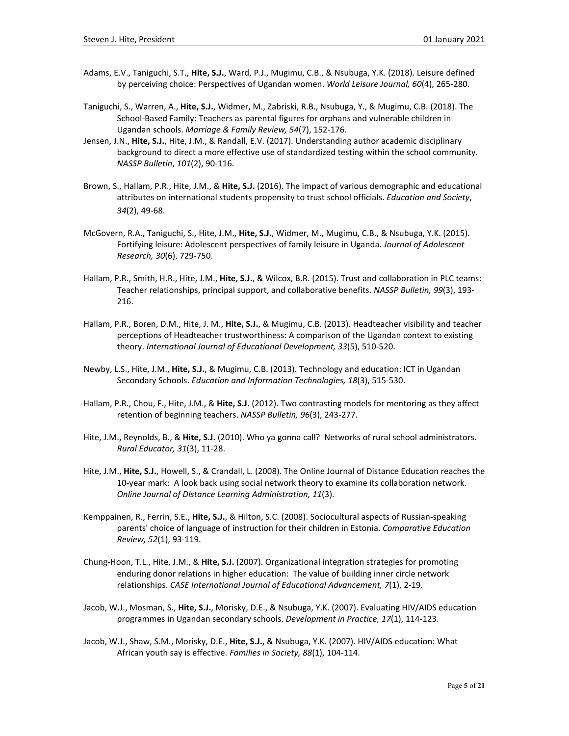- Adams, E.V., Taniguchi, S.T., **Hite, S.J.**, Ward, P.J., Mugimu, C.B., & Nsubuga, Y.K. (2018). Leisure defined by perceiving choice: Perspectives of Ugandan women. *World Leisure Journal, 60*(4), 265-280.
- Taniguchi, S., Warren, A., **Hite, S.J.**, Widmer, M., Zabriski, R.B., Nsubuga, Y., & Mugimu, C.B. (2018). The School-Based Family: Teachers as parental figures for orphans and vulnerable children in Ugandan schools. *Marriage & Family Review, 54*(7), 152-176.
- Jensen, J.N., **Hite, S.J.**, Hite, J.M., & Randall, E.V. (2017). Understanding author academic disciplinary background to direct a more effective use of standardized testing within the school community. *NASSP Bulletin*, *101*(2), 90-116.
- Brown, S., Hallam, P.R., Hite, J.M., & **Hite, S.J.** (2016). The impact of various demographic and educational attributes on international students propensity to trust school officials. *Education and Society*, *34*(2), 49-68.
- McGovern, R.A., Taniguchi, S., Hite, J.M., **Hite, S.J.**, Widmer, M., Mugimu, C.B., & Nsubuga, Y.K. (2015). Fortifying leisure: Adolescent perspectives of family leisure in Uganda. *Journal of Adolescent Research, 30*(6), 729-750.
- Hallam, P.R., Smith, H.R., Hite, J.M., **Hite, S.J.**, & Wilcox, B.R. (2015). Trust and collaboration in PLC teams: Teacher relationships, principal support, and collaborative benefits. *NASSP Bulletin, 99*(3), 193- 216.
- Hallam, P.R., Boren, D.M., Hite, J. M., **Hite, S.J.**, & Mugimu, C.B. (2013). Headteacher visibility and teacher perceptions of Headteacher trustworthiness: A comparison of the Ugandan context to existing theory. *International Journal of Educational Development, 33*(5), 510-520.
- Newby, L.S., Hite, J.M., **Hite, S.J.**, & Mugimu, C.B. (2013). Technology and education: ICT in Ugandan Secondary Schools. *Education and Information Technologies, 18*(3), 515-530.
- Hallam, P.R., Chou, F., Hite, J.M., & **Hite, S.J.** (2012). Two contrasting models for mentoring as they affect retention of beginning teachers. *NASSP Bulletin, 96*(3), 243-277.
- Hite, J.M., Reynolds, B., & **Hite, S.J.** (2010). Who ya gonna call? Networks of rural school administrators. *Rural Educator, 31*(3), 11-28.
- Hite, J.M., **Hite, S.J.**, Howell, S., & Crandall, L. (2008). The Online Journal of Distance Education reaches the 10-year mark: A look back using social network theory to examine its collaboration network. *Online Journal of Distance Learning Administration, 11*(3).
- Kemppainen, R., Ferrin, S.E., **Hite, S.J.**, & Hilton, S.C. (2008). Sociocultural aspects of Russian-speaking parents' choice of language of instruction for their children in Estonia. *Comparative Education Review, 52*(1), 93-119.
- Chung-Hoon, T.L., Hite, J.M., & **Hite, S.J.** (2007). Organizational integration strategies for promoting enduring donor relations in higher education: The value of building inner circle network relationships. *CASE International Journal of Educational Advancement, 7*(1), 2-19.
- Jacob, W.J., Mosman, S., **Hite, S.J.**, Morisky, D.E., & Nsubuga, Y.K. (2007). Evaluating HIV/AIDS education programmes in Ugandan secondary schools. *Development in Practice, 17*(1), 114-123.
- Jacob, W.J., Shaw, S.M., Morisky, D.E., **Hite, S.J.**, & Nsubuga, Y.K. (2007). HIV/AIDS education: What African youth say is effective. *Families in Society, 88*(1), 104-114.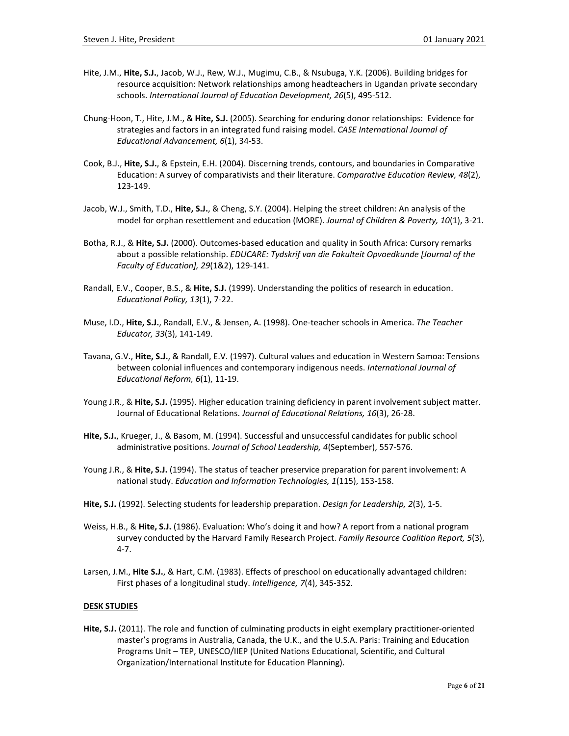- Hite, J.M., **Hite, S.J.**, Jacob, W.J., Rew, W.J., Mugimu, C.B., & Nsubuga, Y.K. (2006). Building bridges for resource acquisition: Network relationships among headteachers in Ugandan private secondary schools. *International Journal of Education Development, 26*(5), 495-512.
- Chung-Hoon, T., Hite, J.M., & **Hite, S.J.** (2005). Searching for enduring donor relationships: Evidence for strategies and factors in an integrated fund raising model. *CASE International Journal of Educational Advancement, 6*(1), 34-53.
- Cook, B.J., **Hite, S.J.**, & Epstein, E.H. (2004). Discerning trends, contours, and boundaries in Comparative Education: A survey of comparativists and their literature. *Comparative Education Review, 48*(2), 123-149.
- Jacob, W.J., Smith, T.D., **Hite, S.J.**, & Cheng, S.Y. (2004). Helping the street children: An analysis of the model for orphan resettlement and education (MORE). *Journal of Children & Poverty, 10*(1), 3-21.
- Botha, R.J., & **Hite, S.J.** (2000). Outcomes-based education and quality in South Africa: Cursory remarks about a possible relationship. *EDUCARE: Tydskrif van die Fakulteit Opvoedkunde [Journal of the Faculty of Education], 29*(1&2), 129-141.
- Randall, E.V., Cooper, B.S., & **Hite, S.J.** (1999). Understanding the politics of research in education. *Educational Policy, 13*(1), 7-22.
- Muse, I.D., **Hite, S.J.**, Randall, E.V., & Jensen, A. (1998). One-teacher schools in America. *The Teacher Educator, 33*(3), 141-149.
- Tavana, G.V., **Hite, S.J.**, & Randall, E.V. (1997). Cultural values and education in Western Samoa: Tensions between colonial influences and contemporary indigenous needs. *International Journal of Educational Reform, 6*(1), 11-19.
- Young J.R., & **Hite, S.J.** (1995). Higher education training deficiency in parent involvement subject matter. Journal of Educational Relations. *Journal of Educational Relations, 16*(3), 26-28.
- **Hite, S.J.**, Krueger, J., & Basom, M. (1994). Successful and unsuccessful candidates for public school administrative positions. *Journal of School Leadership, 4*(September), 557-576.
- Young J.R., & **Hite, S.J.** (1994). The status of teacher preservice preparation for parent involvement: A national study. *Education and Information Technologies, 1*(115), 153-158.
- **Hite, S.J.** (1992). Selecting students for leadership preparation. *Design for Leadership, 2*(3), 1-5.
- Weiss, H.B., & **Hite, S.J.** (1986). Evaluation: Who's doing it and how? A report from a national program survey conducted by the Harvard Family Research Project. *Family Resource Coalition Report, 5*(3), 4-7.
- Larsen, J.M., **Hite S.J.**, & Hart, C.M. (1983). Effects of preschool on educationally advantaged children: First phases of a longitudinal study. *Intelligence, 7*(4), 345-352.

## **DESK STUDIES**

**Hite, S.J.** (2011). The role and function of culminating products in eight exemplary practitioner-oriented master's programs in Australia, Canada, the U.K., and the U.S.A. Paris: Training and Education Programs Unit – TEP, UNESCO/IIEP (United Nations Educational, Scientific, and Cultural Organization/International Institute for Education Planning).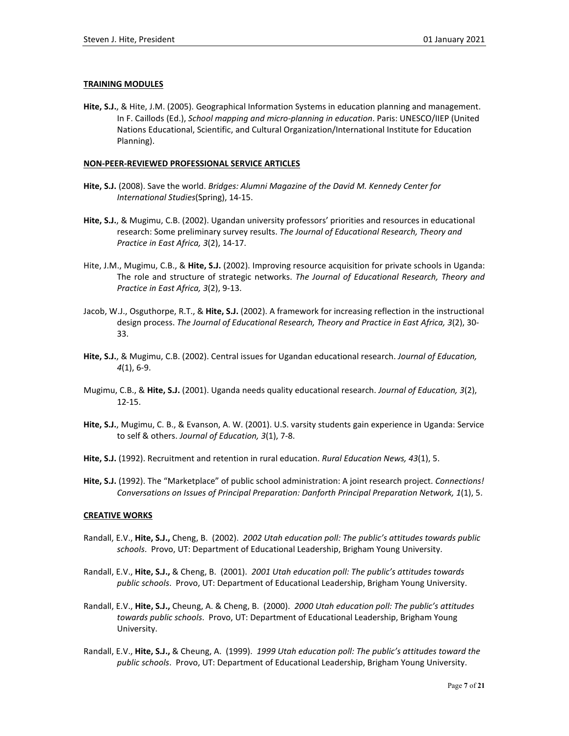## **TRAINING MODULES**

**Hite, S.J.**, & Hite, J.M. (2005). Geographical Information Systems in education planning and management. In F. Caillods (Ed.), *School mapping and micro-planning in education*. Paris: UNESCO/IIEP (United Nations Educational, Scientific, and Cultural Organization/International Institute for Education Planning).

## **NON-PEER-REVIEWED PROFESSIONAL SERVICE ARTICLES**

- **Hite, S.J.** (2008). Save the world. *Bridges: Alumni Magazine of the David M. Kennedy Center for International Studies*(Spring), 14-15.
- **Hite, S.J.**, & Mugimu, C.B. (2002). Ugandan university professors' priorities and resources in educational research: Some preliminary survey results. *The Journal of Educational Research, Theory and Practice in East Africa, 3*(2), 14-17.
- Hite, J.M., Mugimu, C.B., & **Hite, S.J.** (2002). Improving resource acquisition for private schools in Uganda: The role and structure of strategic networks. *The Journal of Educational Research, Theory and Practice in East Africa, 3*(2), 9-13.
- Jacob, W.J., Osguthorpe, R.T., & **Hite, S.J.** (2002). A framework for increasing reflection in the instructional design process. *The Journal of Educational Research, Theory and Practice in East Africa, 3*(2), 30- 33.
- **Hite, S.J.**, & Mugimu, C.B. (2002). Central issues for Ugandan educational research. *Journal of Education, 4*(1), 6-9.
- Mugimu, C.B., & **Hite, S.J.** (2001). Uganda needs quality educational research. *Journal of Education, 3*(2), 12-15.
- **Hite, S.J.**, Mugimu, C. B., & Evanson, A. W. (2001). U.S. varsity students gain experience in Uganda: Service to self & others. *Journal of Education, 3*(1), 7-8.
- **Hite, S.J.** (1992). Recruitment and retention in rural education. *Rural Education News, 43*(1), 5.
- **Hite, S.J.** (1992). The "Marketplace" of public school administration: A joint research project. *Connections! Conversations on Issues of Principal Preparation: Danforth Principal Preparation Network, 1*(1), 5.

## **CREATIVE WORKS**

- Randall, E.V., **Hite, S.J.,** Cheng, B. (2002). *2002 Utah education poll: The public's attitudes towards public schools*. Provo, UT: Department of Educational Leadership, Brigham Young University.
- Randall, E.V., **Hite, S.J.,** & Cheng, B. (2001). *2001 Utah education poll: The public's attitudes towards public schools*. Provo, UT: Department of Educational Leadership, Brigham Young University.
- Randall, E.V., **Hite, S.J.,** Cheung, A. & Cheng, B. (2000). *2000 Utah education poll: The public's attitudes towards public schools*. Provo, UT: Department of Educational Leadership, Brigham Young University.
- Randall, E.V., **Hite, S.J.,** & Cheung, A. (1999). *1999 Utah education poll: The public's attitudes toward the public schools*. Provo, UT: Department of Educational Leadership, Brigham Young University.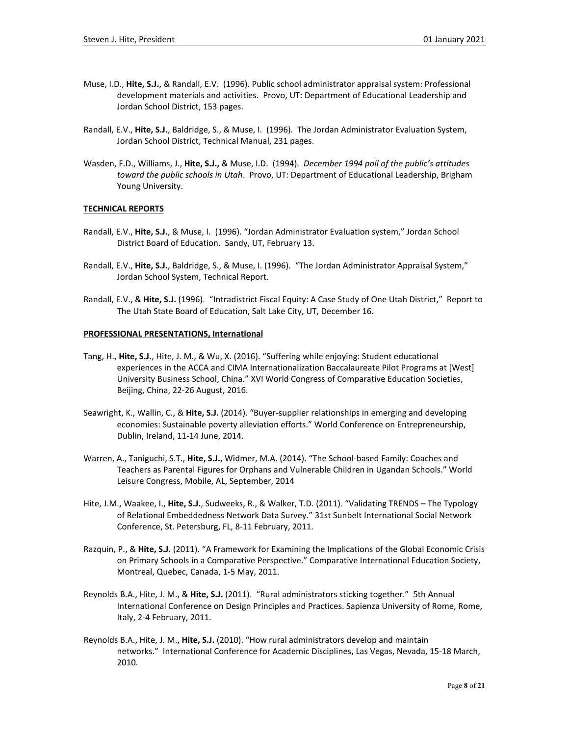- Muse, I.D., **Hite, S.J.**, & Randall, E.V. (1996). Public school administrator appraisal system: Professional development materials and activities. Provo, UT: Department of Educational Leadership and Jordan School District, 153 pages.
- Randall, E.V., **Hite, S.J.**, Baldridge, S., & Muse, I. (1996). The Jordan Administrator Evaluation System, Jordan School District, Technical Manual, 231 pages.
- Wasden, F.D., Williams, J., **Hite, S.J.,** & Muse, I.D. (1994). *December 1994 poll of the public's attitudes toward the public schools in Utah*. Provo, UT: Department of Educational Leadership, Brigham Young University.

## **TECHNICAL REPORTS**

- Randall, E.V., **Hite, S.J.**, & Muse, I. (1996). "Jordan Administrator Evaluation system," Jordan School District Board of Education. Sandy, UT, February 13.
- Randall, E.V., **Hite, S.J.**, Baldridge, S., & Muse, I. (1996). "The Jordan Administrator Appraisal System," Jordan School System, Technical Report.
- Randall, E.V., & **Hite, S.J.** (1996). "Intradistrict Fiscal Equity: A Case Study of One Utah District," Report to The Utah State Board of Education, Salt Lake City, UT, December 16.

## **PROFESSIONAL PRESENTATIONS, International**

- Tang, H., **Hite, S.J.**, Hite, J. M., & Wu, X. (2016). "Suffering while enjoying: Student educational experiences in the ACCA and CIMA Internationalization Baccalaureate Pilot Programs at [West] University Business School, China." XVI World Congress of Comparative Education Societies, Beijing, China, 22-26 August, 2016.
- Seawright, K., Wallin, C., & **Hite, S.J.** (2014). "Buyer-supplier relationships in emerging and developing economies: Sustainable poverty alleviation efforts." World Conference on Entrepreneurship, Dublin, Ireland, 11-14 June, 2014.
- Warren, A., Taniguchi, S.T., **Hite, S.J.**, Widmer, M.A. (2014). "The School-based Family: Coaches and Teachers as Parental Figures for Orphans and Vulnerable Children in Ugandan Schools." World Leisure Congress, Mobile, AL, September, 2014
- Hite, J.M., Waakee, I., **Hite, S.J.**, Sudweeks, R., & Walker, T.D. (2011). "Validating TRENDS The Typology of Relational Embeddedness Network Data Survey." 31st Sunbelt International Social Network Conference, St. Petersburg, FL, 8-11 February, 2011.
- Razquin, P., & **Hite, S.J.** (2011). "A Framework for Examining the Implications of the Global Economic Crisis on Primary Schools in a Comparative Perspective." Comparative International Education Society, Montreal, Quebec, Canada, 1-5 May, 2011.
- Reynolds B.A., Hite, J. M., & **Hite, S.J.** (2011). "Rural administrators sticking together." 5th Annual International Conference on Design Principles and Practices. Sapienza University of Rome, Rome, Italy, 2-4 February, 2011.
- Reynolds B.A., Hite, J. M., **Hite, S.J.** (2010). "How rural administrators develop and maintain networks." International Conference for Academic Disciplines, Las Vegas, Nevada, 15-18 March, 2010.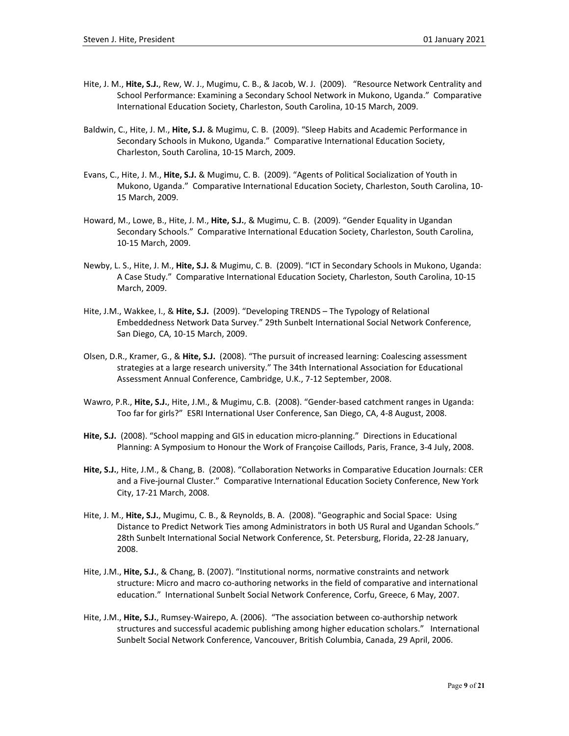- Hite, J. M., **Hite, S.J.**, Rew, W. J., Mugimu, C. B., & Jacob, W. J. (2009). "Resource Network Centrality and School Performance: Examining a Secondary School Network in Mukono, Uganda." Comparative International Education Society, Charleston, South Carolina, 10-15 March, 2009.
- Baldwin, C., Hite, J. M., **Hite, S.J.** & Mugimu, C. B. (2009). "Sleep Habits and Academic Performance in Secondary Schools in Mukono, Uganda." Comparative International Education Society, Charleston, South Carolina, 10-15 March, 2009.
- Evans, C., Hite, J. M., **Hite, S.J.** & Mugimu, C. B. (2009). "Agents of Political Socialization of Youth in Mukono, Uganda." Comparative International Education Society, Charleston, South Carolina, 10- 15 March, 2009.
- Howard, M., Lowe, B., Hite, J. M., **Hite, S.J.**, & Mugimu, C. B. (2009). "Gender Equality in Ugandan Secondary Schools." Comparative International Education Society, Charleston, South Carolina, 10-15 March, 2009.
- Newby, L. S., Hite, J. M., **Hite, S.J.** & Mugimu, C. B. (2009). "ICT in Secondary Schools in Mukono, Uganda: A Case Study." Comparative International Education Society, Charleston, South Carolina, 10-15 March, 2009.
- Hite, J.M., Wakkee, I., & **Hite, S.J.** (2009). "Developing TRENDS The Typology of Relational Embeddedness Network Data Survey." 29th Sunbelt International Social Network Conference, San Diego, CA, 10-15 March, 2009.
- Olsen, D.R., Kramer, G., & **Hite, S.J.** (2008). "The pursuit of increased learning: Coalescing assessment strategies at a large research university." The 34th International Association for Educational Assessment Annual Conference, Cambridge, U.K., 7-12 September, 2008.
- Wawro, P.R., **Hite, S.J.**, Hite, J.M., & Mugimu, C.B. (2008). "Gender-based catchment ranges in Uganda: Too far for girls?" ESRI International User Conference, San Diego, CA, 4-8 August, 2008.
- **Hite, S.J.** (2008). "School mapping and GIS in education micro-planning." Directions in Educational Planning: A Symposium to Honour the Work of Françoise Caillods, Paris, France, 3-4 July, 2008.
- **Hite, S.J.**, Hite, J.M., & Chang, B. (2008). "Collaboration Networks in Comparative Education Journals: CER and a Five-journal Cluster." Comparative International Education Society Conference, New York City, 17-21 March, 2008.
- Hite, J. M., **Hite, S.J.**, Mugimu, C. B., & Reynolds, B. A. (2008). "Geographic and Social Space: Using Distance to Predict Network Ties among Administrators in both US Rural and Ugandan Schools." 28th Sunbelt International Social Network Conference, St. Petersburg, Florida, 22-28 January, 2008.
- Hite, J.M., **Hite, S.J.**, & Chang, B. (2007). "Institutional norms, normative constraints and network structure: Micro and macro co-authoring networks in the field of comparative and international education." International Sunbelt Social Network Conference, Corfu, Greece, 6 May, 2007.
- Hite, J.M., **Hite, S.J.**, Rumsey-Wairepo, A. (2006). "The association between co-authorship network structures and successful academic publishing among higher education scholars." International Sunbelt Social Network Conference, Vancouver, British Columbia, Canada, 29 April, 2006.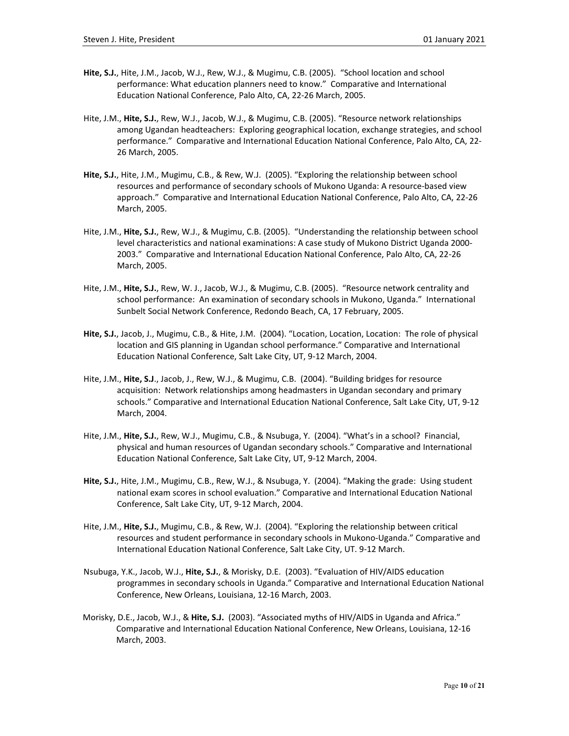- **Hite, S.J.**, Hite, J.M., Jacob, W.J., Rew, W.J., & Mugimu, C.B. (2005). "School location and school performance: What education planners need to know." Comparative and International Education National Conference, Palo Alto, CA, 22-26 March, 2005.
- Hite, J.M., **Hite, S.J.**, Rew, W.J., Jacob, W.J., & Mugimu, C.B. (2005). "Resource network relationships among Ugandan headteachers: Exploring geographical location, exchange strategies, and school performance." Comparative and International Education National Conference, Palo Alto, CA, 22- 26 March, 2005.
- **Hite, S.J.**, Hite, J.M., Mugimu, C.B., & Rew, W.J. (2005). "Exploring the relationship between school resources and performance of secondary schools of Mukono Uganda: A resource-based view approach." Comparative and International Education National Conference, Palo Alto, CA, 22-26 March, 2005.
- Hite, J.M., **Hite, S.J.**, Rew, W.J., & Mugimu, C.B. (2005). "Understanding the relationship between school level characteristics and national examinations: A case study of Mukono District Uganda 2000- 2003." Comparative and International Education National Conference, Palo Alto, CA, 22-26 March, 2005.
- Hite, J.M., **Hite, S.J.**, Rew, W. J., Jacob, W.J., & Mugimu, C.B. (2005). "Resource network centrality and school performance: An examination of secondary schools in Mukono, Uganda." International Sunbelt Social Network Conference, Redondo Beach, CA, 17 February, 2005.
- **Hite, S.J.**, Jacob, J., Mugimu, C.B., & Hite, J.M. (2004). "Location, Location, Location: The role of physical location and GIS planning in Ugandan school performance." Comparative and International Education National Conference, Salt Lake City, UT, 9-12 March, 2004.
- Hite, J.M., **Hite, S.J**., Jacob, J., Rew, W.J., & Mugimu, C.B. (2004). "Building bridges for resource acquisition: Network relationships among headmasters in Ugandan secondary and primary schools." Comparative and International Education National Conference, Salt Lake City, UT, 9-12 March, 2004.
- Hite, J.M., **Hite, S.J.**, Rew, W.J., Mugimu, C.B., & Nsubuga, Y. (2004). "What's in a school? Financial, physical and human resources of Ugandan secondary schools." Comparative and International Education National Conference, Salt Lake City, UT, 9-12 March, 2004.
- **Hite, S.J.**, Hite, J.M., Mugimu, C.B., Rew, W.J., & Nsubuga, Y. (2004). "Making the grade: Using student national exam scores in school evaluation." Comparative and International Education National Conference, Salt Lake City, UT, 9-12 March, 2004.
- Hite, J.M., **Hite, S.J.**, Mugimu, C.B., & Rew, W.J. (2004). "Exploring the relationship between critical resources and student performance in secondary schools in Mukono-Uganda." Comparative and International Education National Conference, Salt Lake City, UT. 9-12 March.
- Nsubuga, Y.K., Jacob, W.J., **Hite, S.J.**, & Morisky, D.E. (2003). "Evaluation of HIV/AIDS education programmes in secondary schools in Uganda." Comparative and International Education National Conference, New Orleans, Louisiana, 12-16 March, 2003.
- Morisky, D.E., Jacob, W.J., & **Hite, S.J.** (2003). "Associated myths of HIV/AIDS in Uganda and Africa." Comparative and International Education National Conference, New Orleans, Louisiana, 12-16 March, 2003.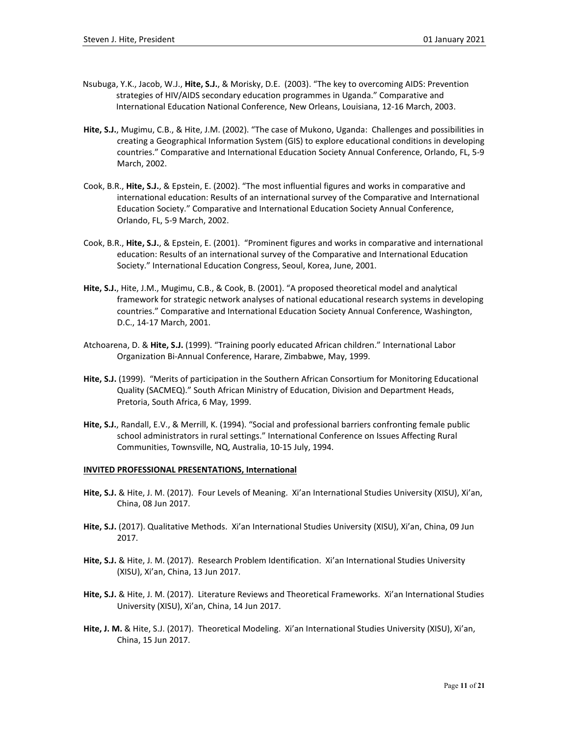- Nsubuga, Y.K., Jacob, W.J., **Hite, S.J.**, & Morisky, D.E. (2003). "The key to overcoming AIDS: Prevention strategies of HIV/AIDS secondary education programmes in Uganda." Comparative and International Education National Conference, New Orleans, Louisiana, 12-16 March, 2003.
- **Hite, S.J.**, Mugimu, C.B., & Hite, J.M. (2002). "The case of Mukono, Uganda: Challenges and possibilities in creating a Geographical Information System (GIS) to explore educational conditions in developing countries." Comparative and International Education Society Annual Conference, Orlando, FL, 5-9 March, 2002.
- Cook, B.R., **Hite, S.J.**, & Epstein, E. (2002). "The most influential figures and works in comparative and international education: Results of an international survey of the Comparative and International Education Society." Comparative and International Education Society Annual Conference, Orlando, FL, 5-9 March, 2002.
- Cook, B.R., **Hite, S.J.**, & Epstein, E. (2001). "Prominent figures and works in comparative and international education: Results of an international survey of the Comparative and International Education Society." International Education Congress, Seoul, Korea, June, 2001.
- **Hite, S.J.**, Hite, J.M., Mugimu, C.B., & Cook, B. (2001). "A proposed theoretical model and analytical framework for strategic network analyses of national educational research systems in developing countries." Comparative and International Education Society Annual Conference, Washington, D.C., 14-17 March, 2001.
- Atchoarena, D. & **Hite, S.J.** (1999). "Training poorly educated African children." International Labor Organization Bi-Annual Conference, Harare, Zimbabwe, May, 1999.
- **Hite, S.J.** (1999). "Merits of participation in the Southern African Consortium for Monitoring Educational Quality (SACMEQ)." South African Ministry of Education, Division and Department Heads, Pretoria, South Africa, 6 May, 1999.
- **Hite, S.J.**, Randall, E.V., & Merrill, K. (1994). "Social and professional barriers confronting female public school administrators in rural settings." International Conference on Issues Affecting Rural Communities, Townsville, NQ, Australia, 10-15 July, 1994.

## **INVITED PROFESSIONAL PRESENTATIONS, International**

- **Hite, S.J.** & Hite, J. M. (2017). Four Levels of Meaning. Xi'an International Studies University (XISU), Xi'an, China, 08 Jun 2017.
- **Hite, S.J.** (2017). Qualitative Methods. Xi'an International Studies University (XISU), Xi'an, China, 09 Jun 2017.
- **Hite, S.J.** & Hite, J. M. (2017). Research Problem Identification. Xi'an International Studies University (XISU), Xi'an, China, 13 Jun 2017.
- **Hite, S.J.** & Hite, J. M. (2017). Literature Reviews and Theoretical Frameworks. Xi'an International Studies University (XISU), Xi'an, China, 14 Jun 2017.
- **Hite, J. M.** & Hite, S.J. (2017). Theoretical Modeling. Xi'an International Studies University (XISU), Xi'an, China, 15 Jun 2017.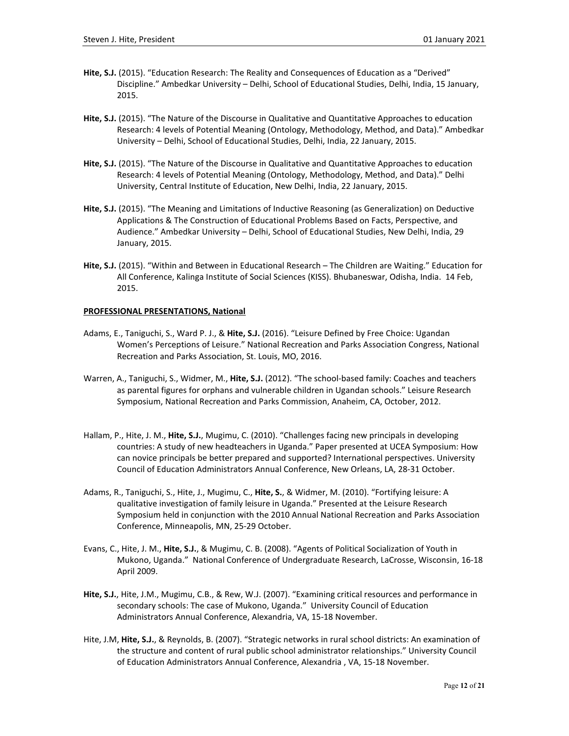- **Hite, S.J.** (2015). "Education Research: The Reality and Consequences of Education as a "Derived" Discipline." Ambedkar University – Delhi, School of Educational Studies, Delhi, India, 15 January, 2015.
- **Hite, S.J.** (2015). "The Nature of the Discourse in Qualitative and Quantitative Approaches to education Research: 4 levels of Potential Meaning (Ontology, Methodology, Method, and Data)." Ambedkar University – Delhi, School of Educational Studies, Delhi, India, 22 January, 2015.
- **Hite, S.J.** (2015). "The Nature of the Discourse in Qualitative and Quantitative Approaches to education Research: 4 levels of Potential Meaning (Ontology, Methodology, Method, and Data)." Delhi University, Central Institute of Education, New Delhi, India, 22 January, 2015.
- **Hite, S.J.** (2015). "The Meaning and Limitations of Inductive Reasoning (as Generalization) on Deductive Applications & The Construction of Educational Problems Based on Facts, Perspective, and Audience." Ambedkar University – Delhi, School of Educational Studies, New Delhi, India, 29 January, 2015.
- **Hite, S.J.** (2015). "Within and Between in Educational Research The Children are Waiting." Education for All Conference, Kalinga Institute of Social Sciences (KISS). Bhubaneswar, Odisha, India. 14 Feb, 2015.

## **PROFESSIONAL PRESENTATIONS, National**

- Adams, E., Taniguchi, S., Ward P. J., & **Hite, S.J.** (2016). "Leisure Defined by Free Choice: Ugandan Women's Perceptions of Leisure." National Recreation and Parks Association Congress, National Recreation and Parks Association, St. Louis, MO, 2016.
- Warren, A., Taniguchi, S., Widmer, M., **Hite, S.J.** (2012). "The school-based family: Coaches and teachers as parental figures for orphans and vulnerable children in Ugandan schools." Leisure Research Symposium, National Recreation and Parks Commission, Anaheim, CA, October, 2012.
- Hallam, P., Hite, J. M., **Hite, S.J.**, Mugimu, C. (2010). "Challenges facing new principals in developing countries: A study of new headteachers in Uganda." Paper presented at UCEA Symposium: How can novice principals be better prepared and supported? International perspectives. University Council of Education Administrators Annual Conference, New Orleans, LA, 28-31 October.
- Adams, R., Taniguchi, S., Hite, J., Mugimu, C., **Hite, S.**, & Widmer, M. (2010). "Fortifying leisure: A qualitative investigation of family leisure in Uganda." Presented at the Leisure Research Symposium held in conjunction with the 2010 Annual National Recreation and Parks Association Conference, Minneapolis, MN, 25-29 October.
- Evans, C., Hite, J. M., **Hite, S.J.**, & Mugimu, C. B. (2008). "Agents of Political Socialization of Youth in Mukono, Uganda." National Conference of Undergraduate Research, LaCrosse, Wisconsin, 16-18 April 2009.
- **Hite, S.J.**, Hite, J.M., Mugimu, C.B., & Rew, W.J. (2007). "Examining critical resources and performance in secondary schools: The case of Mukono, Uganda." University Council of Education Administrators Annual Conference, Alexandria, VA, 15-18 November.
- Hite, J.M, **Hite, S.J.**, & Reynolds, B. (2007). "Strategic networks in rural school districts: An examination of the structure and content of rural public school administrator relationships." University Council of Education Administrators Annual Conference, Alexandria , VA, 15-18 November.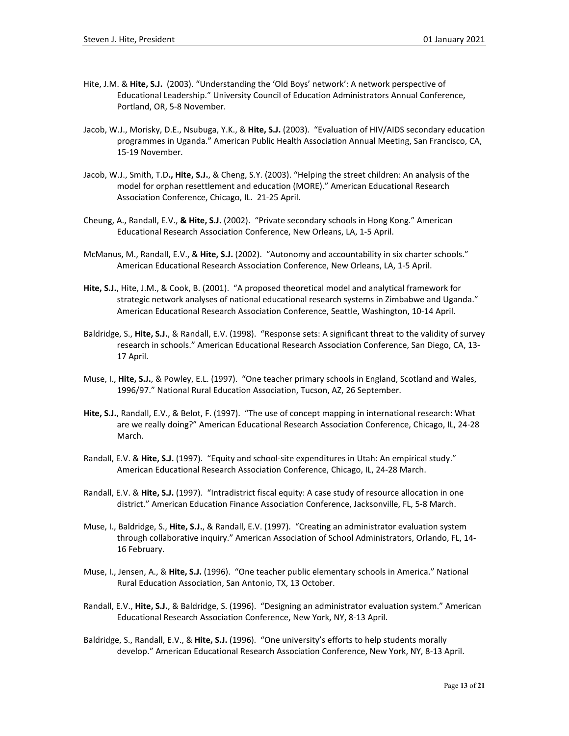- Hite, J.M. & **Hite, S.J.** (2003). "Understanding the 'Old Boys' network': A network perspective of Educational Leadership." University Council of Education Administrators Annual Conference, Portland, OR, 5-8 November.
- Jacob, W.J., Morisky, D.E., Nsubuga, Y.K., & **Hite, S.J.** (2003). "Evaluation of HIV/AIDS secondary education programmes in Uganda." American Public Health Association Annual Meeting, San Francisco, CA, 15-19 November.
- Jacob, W.J., Smith, T.D**., Hite, S.J.**, & Cheng, S.Y. (2003). "Helping the street children: An analysis of the model for orphan resettlement and education (MORE)." American Educational Research Association Conference, Chicago, IL. 21-25 April.
- Cheung, A., Randall, E.V., **& Hite, S.J.** (2002). "Private secondary schools in Hong Kong." American Educational Research Association Conference, New Orleans, LA, 1-5 April.
- McManus, M., Randall, E.V., & **Hite, S.J.** (2002). "Autonomy and accountability in six charter schools." American Educational Research Association Conference, New Orleans, LA, 1-5 April.
- **Hite, S.J.**, Hite, J.M., & Cook, B. (2001). "A proposed theoretical model and analytical framework for strategic network analyses of national educational research systems in Zimbabwe and Uganda." American Educational Research Association Conference, Seattle, Washington, 10-14 April.
- Baldridge, S., **Hite, S.J.**, & Randall, E.V. (1998). "Response sets: A significant threat to the validity of survey research in schools." American Educational Research Association Conference, San Diego, CA, 13- 17 April.
- Muse, I., **Hite, S.J.**, & Powley, E.L. (1997). "One teacher primary schools in England, Scotland and Wales, 1996/97." National Rural Education Association, Tucson, AZ, 26 September.
- **Hite, S.J.**, Randall, E.V., & Belot, F. (1997). "The use of concept mapping in international research: What are we really doing?" American Educational Research Association Conference, Chicago, IL, 24-28 March.
- Randall, E.V. & **Hite, S.J.** (1997). "Equity and school-site expenditures in Utah: An empirical study." American Educational Research Association Conference, Chicago, IL, 24-28 March.
- Randall, E.V. & **Hite, S.J.** (1997). "Intradistrict fiscal equity: A case study of resource allocation in one district." American Education Finance Association Conference, Jacksonville, FL, 5-8 March.
- Muse, I., Baldridge, S., **Hite, S.J.**, & Randall, E.V. (1997). "Creating an administrator evaluation system through collaborative inquiry." American Association of School Administrators, Orlando, FL, 14- 16 February.
- Muse, I., Jensen, A., & **Hite, S.J.** (1996). "One teacher public elementary schools in America." National Rural Education Association, San Antonio, TX, 13 October.
- Randall, E.V., **Hite, S.J.**, & Baldridge, S. (1996). "Designing an administrator evaluation system." American Educational Research Association Conference, New York, NY, 8-13 April.
- Baldridge, S., Randall, E.V., & **Hite, S.J.** (1996). "One university's efforts to help students morally develop." American Educational Research Association Conference, New York, NY, 8-13 April.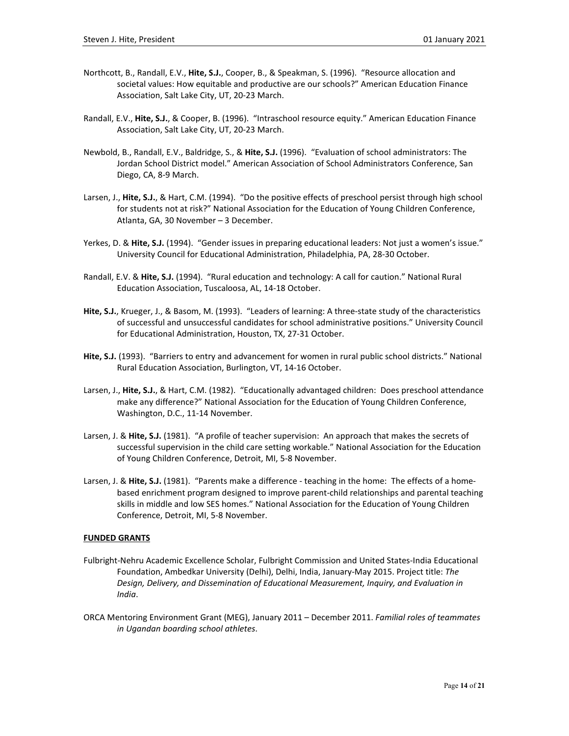- Northcott, B., Randall, E.V., **Hite, S.J.**, Cooper, B., & Speakman, S. (1996). "Resource allocation and societal values: How equitable and productive are our schools?" American Education Finance Association, Salt Lake City, UT, 20-23 March.
- Randall, E.V., **Hite, S.J.**, & Cooper, B. (1996). "Intraschool resource equity." American Education Finance Association, Salt Lake City, UT, 20-23 March.
- Newbold, B., Randall, E.V., Baldridge, S., & **Hite, S.J.** (1996). "Evaluation of school administrators: The Jordan School District model." American Association of School Administrators Conference, San Diego, CA, 8-9 March.
- Larsen, J., **Hite, S.J.**, & Hart, C.M. (1994). "Do the positive effects of preschool persist through high school for students not at risk?" National Association for the Education of Young Children Conference, Atlanta, GA, 30 November – 3 December.
- Yerkes, D. & **Hite, S.J.** (1994). "Gender issues in preparing educational leaders: Not just a women's issue." University Council for Educational Administration, Philadelphia, PA, 28-30 October.
- Randall, E.V. & Hite, S.J. (1994). "Rural education and technology: A call for caution." National Rural Education Association, Tuscaloosa, AL, 14-18 October.
- **Hite, S.J.**, Krueger, J., & Basom, M. (1993). "Leaders of learning: A three-state study of the characteristics of successful and unsuccessful candidates for school administrative positions." University Council for Educational Administration, Houston, TX, 27-31 October.
- **Hite, S.J.** (1993)."Barriers to entry and advancement for women in rural public school districts." National Rural Education Association, Burlington, VT, 14-16 October.
- Larsen, J., **Hite, S.J.**, & Hart, C.M. (1982). "Educationally advantaged children: Does preschool attendance make any difference?" National Association for the Education of Young Children Conference, Washington, D.C., 11-14 November.
- Larsen, J. & **Hite, S.J.** (1981). "A profile of teacher supervision: An approach that makes the secrets of successful supervision in the child care setting workable." National Association for the Education of Young Children Conference, Detroit, MI, 5-8 November.
- Larsen, J. & **Hite, S.J.** (1981). "Parents make a difference teaching in the home: The effects of a homebased enrichment program designed to improve parent-child relationships and parental teaching skills in middle and low SES homes." National Association for the Education of Young Children Conference, Detroit, MI, 5-8 November.

## **FUNDED GRANTS**

- Fulbright-Nehru Academic Excellence Scholar, Fulbright Commission and United States-India Educational Foundation, Ambedkar University (Delhi), Delhi, India, January-May 2015. Project title: *The Design, Delivery, and Dissemination of Educational Measurement, Inquiry, and Evaluation in India*.
- ORCA Mentoring Environment Grant (MEG), January 2011 December 2011. *Familial roles of teammates in Ugandan boarding school athletes*.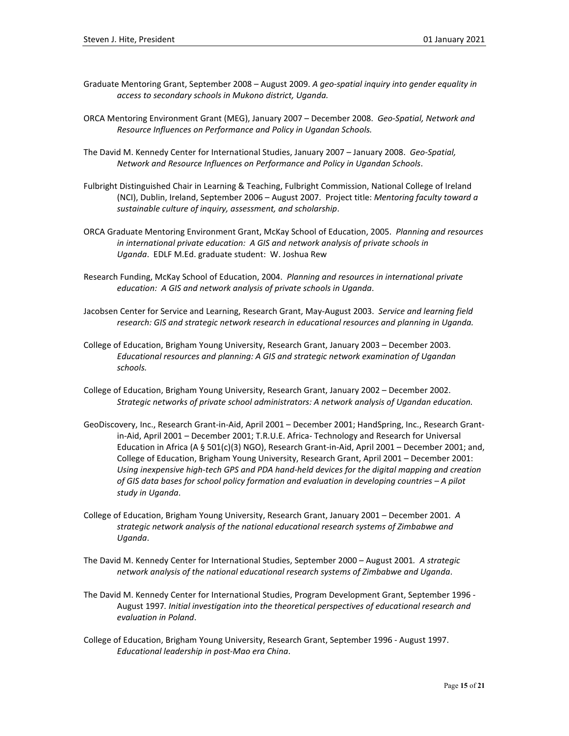- Graduate Mentoring Grant, September 2008 August 2009. *A geo-spatial inquiry into gender equality in access to secondary schools in Mukono district, Uganda.*
- ORCA Mentoring Environment Grant (MEG), January 2007 December 2008. *Geo-Spatial, Network and Resource Influences on Performance and Policy in Ugandan Schools.*
- The David M. Kennedy Center for International Studies, January 2007 January 2008. *Geo-Spatial, Network and Resource Influences on Performance and Policy in Ugandan Schools*.
- Fulbright Distinguished Chair in Learning & Teaching, Fulbright Commission, National College of Ireland (NCI), Dublin, Ireland, September 2006 – August 2007. Project title: *Mentoring faculty toward a sustainable culture of inquiry, assessment, and scholarship*.
- ORCA Graduate Mentoring Environment Grant, McKay School of Education, 2005. *Planning and resources in international private education: A GIS and network analysis of private schools in Uganda*. EDLF M.Ed. graduate student: W. Joshua Rew
- Research Funding, McKay School of Education, 2004. *Planning and resources in international private education: A GIS and network analysis of private schools in Uganda*.
- Jacobsen Center for Service and Learning, Research Grant, May-August 2003. *Service and learning field research: GIS and strategic network research in educational resources and planning in Uganda.*
- College of Education, Brigham Young University, Research Grant, January 2003 December 2003. *Educational resources and planning: A GIS and strategic network examination of Ugandan schools.*
- College of Education, Brigham Young University, Research Grant, January 2002 December 2002. *Strategic networks of private school administrators: A network analysis of Ugandan education.*
- GeoDiscovery, Inc., Research Grant-in-Aid, April 2001 December 2001; HandSpring, Inc., Research Grantin-Aid, April 2001 – December 2001; T.R.U.E. Africa- Technology and Research for Universal Education in Africa (A § 501(c)(3) NGO), Research Grant-in-Aid, April 2001 – December 2001; and, College of Education, Brigham Young University, Research Grant, April 2001 – December 2001: *Using inexpensive high-tech GPS and PDA hand-held devices for the digital mapping and creation of GIS data bases for school policy formation and evaluation in developing countries – A pilot study in Uganda*.
- College of Education, Brigham Young University, Research Grant, January 2001 December 2001. *A strategic network analysis of the national educational research systems of Zimbabwe and Uganda*.
- The David M. Kennedy Center for International Studies, September 2000 August 2001*. A strategic network analysis of the national educational research systems of Zimbabwe and Uganda*.
- The David M. Kennedy Center for International Studies, Program Development Grant, September 1996 August 1997*. Initial investigation into the theoretical perspectives of educational research and evaluation in Poland*.
- College of Education, Brigham Young University, Research Grant, September 1996 August 1997. *Educational leadership in post-Mao era China*.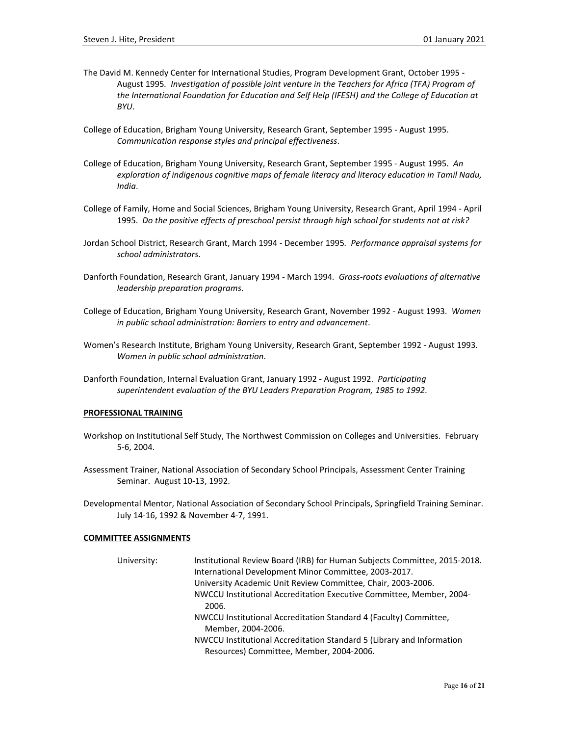- The David M. Kennedy Center for International Studies, Program Development Grant, October 1995 August 1995*. Investigation of possible joint venture in the Teachers for Africa (TFA) Program of the International Foundation for Education and Self Help (IFESH) and the College of Education at BYU*.
- College of Education, Brigham Young University, Research Grant, September 1995 August 1995. *Communication response styles and principal effectiveness*.
- College of Education, Brigham Young University, Research Grant, September 1995 August 1995. *An exploration of indigenous cognitive maps of female literacy and literacy education in Tamil Nadu, India*.
- College of Family, Home and Social Sciences, Brigham Young University, Research Grant, April 1994 April 1995. *Do the positive effects of preschool persist through high school for students not at risk?*
- Jordan School District, Research Grant, March 1994 December 1995*. Performance appraisal systems for school administrators*.
- Danforth Foundation, Research Grant, January 1994 March 1994*. Grass-roots evaluations of alternative leadership preparation programs*.
- College of Education, Brigham Young University, Research Grant, November 1992 August 1993. *Women in public school administration: Barriers to entry and advancement*.
- Women's Research Institute, Brigham Young University, Research Grant, September 1992 August 1993. *Women in public school administration*.
- Danforth Foundation, Internal Evaluation Grant, January 1992 August 1992. *Participating superintendent evaluation of the BYU Leaders Preparation Program, 1985 to 1992*.

## **PROFESSIONAL TRAINING**

- Workshop on Institutional Self Study, The Northwest Commission on Colleges and Universities. February 5-6, 2004.
- Assessment Trainer, National Association of Secondary School Principals, Assessment Center Training Seminar. August 10-13, 1992.
- Developmental Mentor, National Association of Secondary School Principals, Springfield Training Seminar. July 14-16, 1992 & November 4-7, 1991.

#### **COMMITTEE ASSIGNMENTS**

| University: | Institutional Review Board (IRB) for Human Subjects Committee, 2015-2018.               |
|-------------|-----------------------------------------------------------------------------------------|
|             | International Development Minor Committee, 2003-2017.                                   |
|             | University Academic Unit Review Committee, Chair, 2003-2006.                            |
|             | NWCCU Institutional Accreditation Executive Committee, Member, 2004-                    |
|             | 2006.                                                                                   |
|             | NWCCU Institutional Accreditation Standard 4 (Faculty) Committee,<br>Member, 2004-2006. |
|             | NWCCU Institutional Accreditation Standard 5 (Library and Information                   |
|             | Resources) Committee, Member, 2004-2006.                                                |
|             |                                                                                         |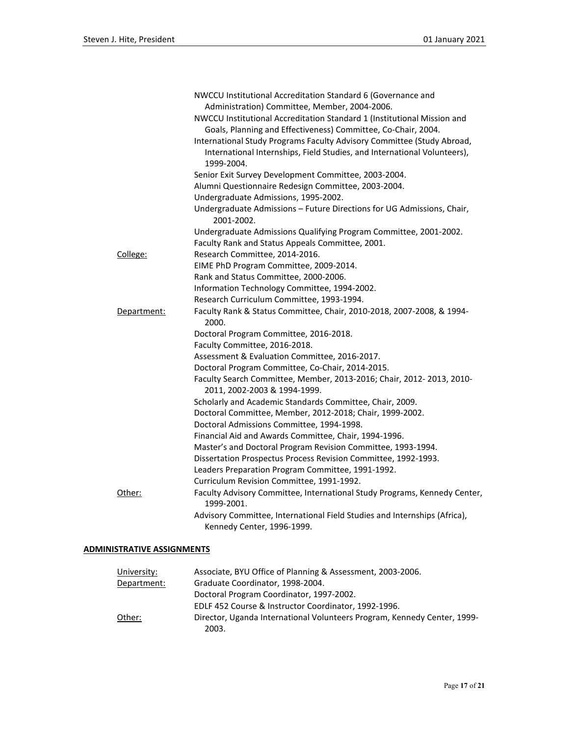|             | NWCCU Institutional Accreditation Standard 6 (Governance and                                                                                       |
|-------------|----------------------------------------------------------------------------------------------------------------------------------------------------|
|             | Administration) Committee, Member, 2004-2006.                                                                                                      |
|             | NWCCU Institutional Accreditation Standard 1 (Institutional Mission and<br>Goals, Planning and Effectiveness) Committee, Co-Chair, 2004.           |
|             | International Study Programs Faculty Advisory Committee (Study Abroad,<br>International Internships, Field Studies, and International Volunteers), |
|             | 1999-2004.                                                                                                                                         |
|             | Senior Exit Survey Development Committee, 2003-2004.                                                                                               |
|             | Alumni Questionnaire Redesign Committee, 2003-2004.                                                                                                |
|             | Undergraduate Admissions, 1995-2002.                                                                                                               |
|             | Undergraduate Admissions - Future Directions for UG Admissions, Chair,<br>2001-2002.                                                               |
|             | Undergraduate Admissions Qualifying Program Committee, 2001-2002.                                                                                  |
|             | Faculty Rank and Status Appeals Committee, 2001.                                                                                                   |
| College:    | Research Committee, 2014-2016.                                                                                                                     |
|             | EIME PhD Program Committee, 2009-2014.                                                                                                             |
|             | Rank and Status Committee, 2000-2006.                                                                                                              |
|             | Information Technology Committee, 1994-2002.                                                                                                       |
|             | Research Curriculum Committee, 1993-1994.                                                                                                          |
| Department: | Faculty Rank & Status Committee, Chair, 2010-2018, 2007-2008, & 1994-<br>2000.                                                                     |
|             | Doctoral Program Committee, 2016-2018.                                                                                                             |
|             | Faculty Committee, 2016-2018.                                                                                                                      |
|             | Assessment & Evaluation Committee, 2016-2017.                                                                                                      |
|             | Doctoral Program Committee, Co-Chair, 2014-2015.                                                                                                   |
|             | Faculty Search Committee, Member, 2013-2016; Chair, 2012- 2013, 2010-<br>2011, 2002-2003 & 1994-1999.                                              |
|             | Scholarly and Academic Standards Committee, Chair, 2009.                                                                                           |
|             | Doctoral Committee, Member, 2012-2018; Chair, 1999-2002.                                                                                           |
|             | Doctoral Admissions Committee, 1994-1998.                                                                                                          |
|             | Financial Aid and Awards Committee, Chair, 1994-1996.                                                                                              |
|             | Master's and Doctoral Program Revision Committee, 1993-1994.                                                                                       |
|             | Dissertation Prospectus Process Revision Committee, 1992-1993.                                                                                     |
|             | Leaders Preparation Program Committee, 1991-1992.                                                                                                  |
|             | Curriculum Revision Committee, 1991-1992.                                                                                                          |
| Other:      | Faculty Advisory Committee, International Study Programs, Kennedy Center,<br>1999-2001.                                                            |
|             | Advisory Committee, International Field Studies and Internships (Africa),<br>Kennedy Center, 1996-1999.                                            |

## **ADMINISTRATIVE ASSIGNMENTS**

| University: | Associate, BYU Office of Planning & Assessment, 2003-2006.                        |
|-------------|-----------------------------------------------------------------------------------|
| Department: | Graduate Coordinator, 1998-2004.                                                  |
|             | Doctoral Program Coordinator, 1997-2002.                                          |
|             | EDLF 452 Course & Instructor Coordinator, 1992-1996.                              |
| Other:      | Director, Uganda International Volunteers Program, Kennedy Center, 1999-<br>2003. |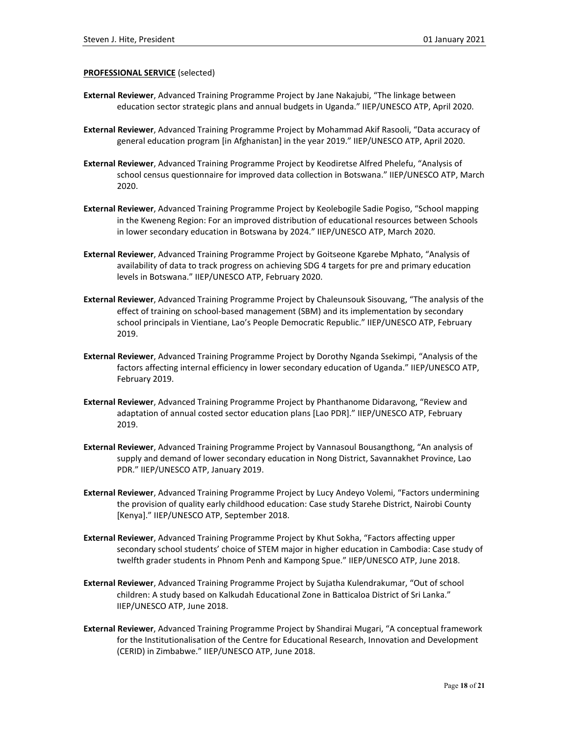#### **PROFESSIONAL SERVICE** (selected)

- **External Reviewer**, Advanced Training Programme Project by Jane Nakajubi, "The linkage between education sector strategic plans and annual budgets in Uganda." IIEP/UNESCO ATP, April 2020.
- **External Reviewer**, Advanced Training Programme Project by Mohammad Akif Rasooli, "Data accuracy of general education program [in Afghanistan] in the year 2019." IIEP/UNESCO ATP, April 2020.
- **External Reviewer**, Advanced Training Programme Project by Keodiretse Alfred Phelefu, "Analysis of school census questionnaire for improved data collection in Botswana." IIEP/UNESCO ATP, March 2020.
- **External Reviewer**, Advanced Training Programme Project by Keolebogile Sadie Pogiso, "School mapping in the Kweneng Region: For an improved distribution of educational resources between Schools in lower secondary education in Botswana by 2024." IIEP/UNESCO ATP, March 2020.
- **External Reviewer**, Advanced Training Programme Project by Goitseone Kgarebe Mphato, "Analysis of availability of data to track progress on achieving SDG 4 targets for pre and primary education levels in Botswana." IIEP/UNESCO ATP, February 2020.
- **External Reviewer**, Advanced Training Programme Project by Chaleunsouk Sisouvang, "The analysis of the effect of training on school-based management (SBM) and its implementation by secondary school principals in Vientiane, Lao's People Democratic Republic." IIEP/UNESCO ATP, February 2019.
- **External Reviewer**, Advanced Training Programme Project by Dorothy Nganda Ssekimpi, "Analysis of the factors affecting internal efficiency in lower secondary education of Uganda." IIEP/UNESCO ATP, February 2019.
- **External Reviewer**, Advanced Training Programme Project by Phanthanome Didaravong, "Review and adaptation of annual costed sector education plans [Lao PDR]." IIEP/UNESCO ATP, February 2019.
- **External Reviewer**, Advanced Training Programme Project by Vannasoul Bousangthong, "An analysis of supply and demand of lower secondary education in Nong District, Savannakhet Province, Lao PDR." IIEP/UNESCO ATP, January 2019.
- **External Reviewer**, Advanced Training Programme Project by Lucy Andeyo Volemi, "Factors undermining the provision of quality early childhood education: Case study Starehe District, Nairobi County [Kenya]." IIEP/UNESCO ATP, September 2018.
- **External Reviewer**, Advanced Training Programme Project by Khut Sokha, "Factors affecting upper secondary school students' choice of STEM major in higher education in Cambodia: Case study of twelfth grader students in Phnom Penh and Kampong Spue." IIEP/UNESCO ATP, June 2018.
- **External Reviewer**, Advanced Training Programme Project by Sujatha Kulendrakumar, "Out of school children: A study based on Kalkudah Educational Zone in Batticaloa District of Sri Lanka." IIEP/UNESCO ATP, June 2018.
- **External Reviewer**, Advanced Training Programme Project by Shandirai Mugari, "A conceptual framework for the Institutionalisation of the Centre for Educational Research, Innovation and Development (CERID) in Zimbabwe." IIEP/UNESCO ATP, June 2018.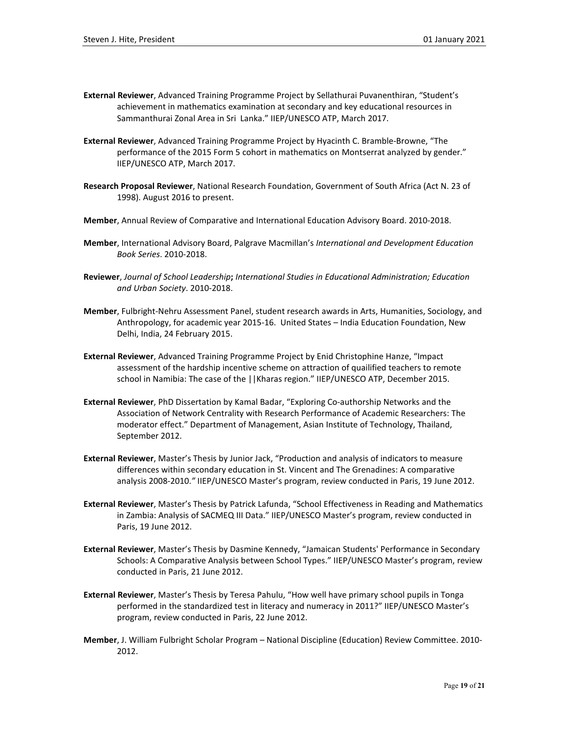- **External Reviewer**, Advanced Training Programme Project by Sellathurai Puvanenthiran, "Student's achievement in mathematics examination at secondary and key educational resources in Sammanthurai Zonal Area in Sri Lanka." IIEP/UNESCO ATP, March 2017.
- **External Reviewer**, Advanced Training Programme Project by Hyacinth C. Bramble-Browne, "The performance of the 2015 Form 5 cohort in mathematics on Montserrat analyzed by gender." IIEP/UNESCO ATP, March 2017.
- **Research Proposal Reviewer**, National Research Foundation, Government of South Africa (Act N. 23 of 1998). August 2016 to present.
- **Member**, Annual Review of Comparative and International Education Advisory Board. 2010-2018.
- **Member**, International Advisory Board, Palgrave Macmillan's *International and Development Education Book Series*. 2010-2018.
- **Reviewer**, *Journal of School Leadership***;** *International Studies in Educational Administration; Education and Urban Society*. 2010-2018.
- **Member**, Fulbright-Nehru Assessment Panel, student research awards in Arts, Humanities, Sociology, and Anthropology, for academic year 2015-16. United States – India Education Foundation, New Delhi, India, 24 February 2015.
- **External Reviewer**, Advanced Training Programme Project by Enid Christophine Hanze, "Impact assessment of the hardship incentive scheme on attraction of quailified teachers to remote school in Namibia: The case of the ||Kharas region." IIEP/UNESCO ATP, December 2015.
- **External Reviewer**, PhD Dissertation by Kamal Badar, "Exploring Co-authorship Networks and the Association of Network Centrality with Research Performance of Academic Researchers: The moderator effect." Department of Management, Asian Institute of Technology, Thailand, September 2012.
- **External Reviewer**, Master's Thesis by Junior Jack, "Production and analysis of indicators to measure differences within secondary education in St. Vincent and The Grenadines: A comparative analysis 2008-2010.*"* IIEP/UNESCO Master's program, review conducted in Paris, 19 June 2012.
- **External Reviewer**, Master's Thesis by Patrick Lafunda, "School Effectiveness in Reading and Mathematics in Zambia: Analysis of SACMEQ III Data." IIEP/UNESCO Master's program, review conducted in Paris, 19 June 2012.
- **External Reviewer**, Master's Thesis by Dasmine Kennedy, "Jamaican Students' Performance in Secondary Schools: A Comparative Analysis between School Types." IIEP/UNESCO Master's program, review conducted in Paris, 21 June 2012.
- **External Reviewer**, Master's Thesis by Teresa Pahulu, "How well have primary school pupils in Tonga performed in the standardized test in literacy and numeracy in 2011?" IIEP/UNESCO Master's program, review conducted in Paris, 22 June 2012.
- **Member**, J. William Fulbright Scholar Program National Discipline (Education) Review Committee. 2010- 2012.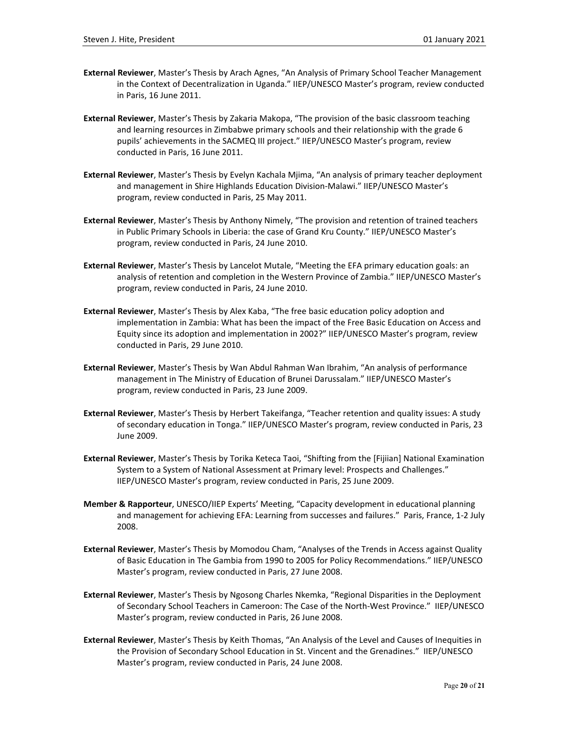- **External Reviewer**, Master's Thesis by Arach Agnes, "An Analysis of Primary School Teacher Management in the Context of Decentralization in Uganda." IIEP/UNESCO Master's program, review conducted in Paris, 16 June 2011.
- **External Reviewer**, Master's Thesis by Zakaria Makopa, "The provision of the basic classroom teaching and learning resources in Zimbabwe primary schools and their relationship with the grade 6 pupils' achievements in the SACMEQ III project." IIEP/UNESCO Master's program, review conducted in Paris, 16 June 2011.
- **External Reviewer**, Master's Thesis by Evelyn Kachala Mjima, "An analysis of primary teacher deployment and management in Shire Highlands Education Division-Malawi." IIEP/UNESCO Master's program, review conducted in Paris, 25 May 2011.
- **External Reviewer**, Master's Thesis by Anthony Nimely, "The provision and retention of trained teachers in Public Primary Schools in Liberia: the case of Grand Kru County." IIEP/UNESCO Master's program, review conducted in Paris, 24 June 2010.
- **External Reviewer**, Master's Thesis by Lancelot Mutale, "Meeting the EFA primary education goals: an analysis of retention and completion in the Western Province of Zambia." IIEP/UNESCO Master's program, review conducted in Paris, 24 June 2010.
- **External Reviewer**, Master's Thesis by Alex Kaba, "The free basic education policy adoption and implementation in Zambia: What has been the impact of the Free Basic Education on Access and Equity since its adoption and implementation in 2002?" IIEP/UNESCO Master's program, review conducted in Paris, 29 June 2010.
- **External Reviewer**, Master's Thesis by Wan Abdul Rahman Wan Ibrahim, "An analysis of performance management in The Ministry of Education of Brunei Darussalam." IIEP/UNESCO Master's program, review conducted in Paris, 23 June 2009.
- **External Reviewer**, Master's Thesis by Herbert Takeifanga, "Teacher retention and quality issues: A study of secondary education in Tonga." IIEP/UNESCO Master's program, review conducted in Paris, 23 June 2009.
- **External Reviewer**, Master's Thesis by Torika Keteca Taoi, "Shifting from the [Fijiian] National Examination System to a System of National Assessment at Primary level: Prospects and Challenges." IIEP/UNESCO Master's program, review conducted in Paris, 25 June 2009.
- **Member & Rapporteur**, UNESCO/IIEP Experts' Meeting, "Capacity development in educational planning and management for achieving EFA: Learning from successes and failures." Paris, France, 1-2 July 2008.
- **External Reviewer**, Master's Thesis by Momodou Cham, "Analyses of the Trends in Access against Quality of Basic Education in The Gambia from 1990 to 2005 for Policy Recommendations." IIEP/UNESCO Master's program, review conducted in Paris, 27 June 2008.
- **External Reviewer**, Master's Thesis by Ngosong Charles Nkemka, "Regional Disparities in the Deployment of Secondary School Teachers in Cameroon: The Case of the North-West Province." IIEP/UNESCO Master's program, review conducted in Paris, 26 June 2008.
- **External Reviewer**, Master's Thesis by Keith Thomas, "An Analysis of the Level and Causes of Inequities in the Provision of Secondary School Education in St. Vincent and the Grenadines." IIEP/UNESCO Master's program, review conducted in Paris, 24 June 2008.